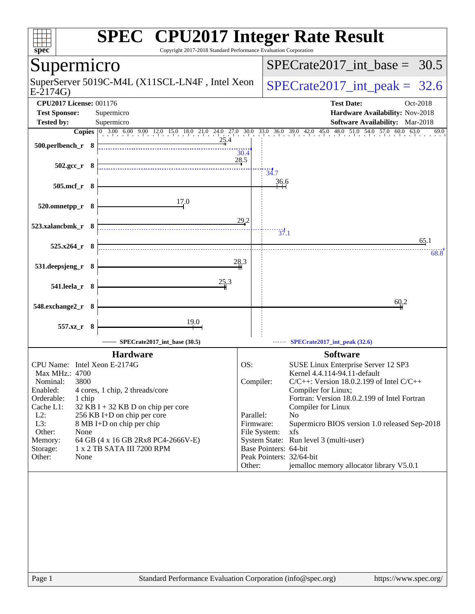| <b>SPEC<sup>®</sup> CPU2017 Integer Rate Result</b><br>spec <sup>®</sup>                                                                                                                                                                                                                                                                                                                                 | Copyright 2017-2018 Standard Performance Evaluation Corporation |                                                                                             |                                                                                                                                                                                                                                                                                                                                                                                   |
|----------------------------------------------------------------------------------------------------------------------------------------------------------------------------------------------------------------------------------------------------------------------------------------------------------------------------------------------------------------------------------------------------------|-----------------------------------------------------------------|---------------------------------------------------------------------------------------------|-----------------------------------------------------------------------------------------------------------------------------------------------------------------------------------------------------------------------------------------------------------------------------------------------------------------------------------------------------------------------------------|
| Supermicro                                                                                                                                                                                                                                                                                                                                                                                               |                                                                 |                                                                                             | $SPECrate2017\_int\_base = 30.5$                                                                                                                                                                                                                                                                                                                                                  |
| SuperServer 5019C-M4L (X11SCL-LN4F, Intel Xeon<br>$E-2174G$                                                                                                                                                                                                                                                                                                                                              |                                                                 |                                                                                             | $SPECTate2017\_int\_peak = 32.6$                                                                                                                                                                                                                                                                                                                                                  |
| <b>CPU2017 License: 001176</b><br><b>Test Sponsor:</b><br>Supermicro                                                                                                                                                                                                                                                                                                                                     |                                                                 |                                                                                             | <b>Test Date:</b><br>Oct-2018<br>Hardware Availability: Nov-2018                                                                                                                                                                                                                                                                                                                  |
| <b>Tested by:</b><br>Supermicro                                                                                                                                                                                                                                                                                                                                                                          |                                                                 |                                                                                             | <b>Software Availability:</b> Mar-2018                                                                                                                                                                                                                                                                                                                                            |
| Copies 0 3.00 6.00 9.00 12.0 15.0 18.0 21.0 24.0 27.0 30.0 33.0 36.0 39.0 42.0 45.0 48.0 51.0 54.0 57.0 60.0 63.0<br>500.perlbench_r 8                                                                                                                                                                                                                                                                   | <u>25</u> .4<br>30.4                                            |                                                                                             | 69.0                                                                                                                                                                                                                                                                                                                                                                              |
| $502.\text{gcc}_r$ 8                                                                                                                                                                                                                                                                                                                                                                                     | 28.5                                                            | 34.7                                                                                        |                                                                                                                                                                                                                                                                                                                                                                                   |
| 505.mcf_r 8                                                                                                                                                                                                                                                                                                                                                                                              |                                                                 | 36.6                                                                                        |                                                                                                                                                                                                                                                                                                                                                                                   |
| 17.0<br>520.omnetpp_r 8                                                                                                                                                                                                                                                                                                                                                                                  |                                                                 |                                                                                             |                                                                                                                                                                                                                                                                                                                                                                                   |
| 523.xalancbmk_r 8                                                                                                                                                                                                                                                                                                                                                                                        | 29.2                                                            | $\frac{1}{37.1}$                                                                            |                                                                                                                                                                                                                                                                                                                                                                                   |
| 525.x264_r 8                                                                                                                                                                                                                                                                                                                                                                                             |                                                                 |                                                                                             | 65.1<br>68.8                                                                                                                                                                                                                                                                                                                                                                      |
| 531.deepsjeng_r 8                                                                                                                                                                                                                                                                                                                                                                                        | 28,3                                                            |                                                                                             |                                                                                                                                                                                                                                                                                                                                                                                   |
| 541.leela_r 8                                                                                                                                                                                                                                                                                                                                                                                            | 25.3                                                            |                                                                                             |                                                                                                                                                                                                                                                                                                                                                                                   |
| 548.exchange2_r 8                                                                                                                                                                                                                                                                                                                                                                                        |                                                                 |                                                                                             | 60,2                                                                                                                                                                                                                                                                                                                                                                              |
| <u>19.0</u><br>557.xz_r<br>- 8                                                                                                                                                                                                                                                                                                                                                                           |                                                                 |                                                                                             |                                                                                                                                                                                                                                                                                                                                                                                   |
| SPECrate2017_int_base (30.5)                                                                                                                                                                                                                                                                                                                                                                             |                                                                 |                                                                                             | $SPECrate2017$ _int_peak $(32.6)$                                                                                                                                                                                                                                                                                                                                                 |
| <b>Hardware</b>                                                                                                                                                                                                                                                                                                                                                                                          |                                                                 |                                                                                             | <b>Software</b>                                                                                                                                                                                                                                                                                                                                                                   |
| CPU Name: Intel Xeon E-2174G<br>Max MHz.: 4700<br>3800<br>Nominal:<br>Enabled:<br>4 cores, 1 chip, 2 threads/core<br>Orderable:<br>1 chip<br>Cache L1:<br>32 KB I + 32 KB D on chip per core<br>$L2$ :<br>256 KB I+D on chip per core<br>L3:<br>8 MB I+D on chip per chip<br>Other:<br>None<br>Memory:<br>64 GB (4 x 16 GB 2Rx8 PC4-2666V-E)<br>1 x 2 TB SATA III 7200 RPM<br>Storage:<br>Other:<br>None | OS:<br>Parallel:<br>Other:                                      | Compiler:<br>Firmware:<br>File System:<br>Base Pointers: 64-bit<br>Peak Pointers: 32/64-bit | SUSE Linux Enterprise Server 12 SP3<br>Kernel 4.4.114-94.11-default<br>$C/C++$ : Version 18.0.2.199 of Intel $C/C++$<br>Compiler for Linux;<br>Fortran: Version 18.0.2.199 of Intel Fortran<br>Compiler for Linux<br>N <sub>o</sub><br>Supermicro BIOS version 1.0 released Sep-2018<br>xfs<br>System State: Run level 3 (multi-user)<br>jemalloc memory allocator library V5.0.1 |
| Standard Performance Evaluation Corporation (info@spec.org)<br>Page 1                                                                                                                                                                                                                                                                                                                                    |                                                                 |                                                                                             | https://www.spec.org/                                                                                                                                                                                                                                                                                                                                                             |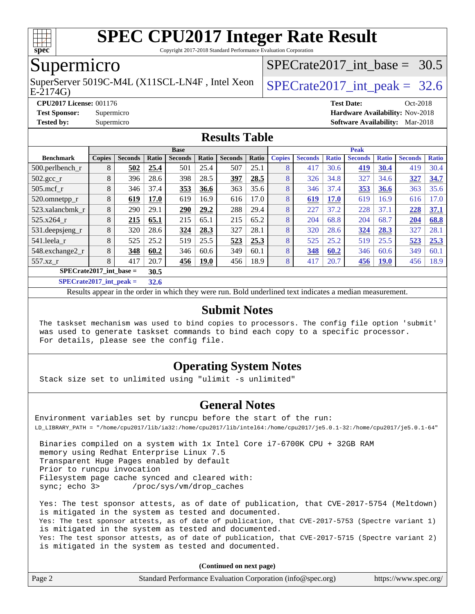

Copyright 2017-2018 Standard Performance Evaluation Corporation

### Supermicro

E-2174G) SuperServer 5019C-M4L (X11SCL-LN4F, Intel Xeon  $\big|$  SPECrate 2017 int peak = 32.6

SPECrate2017 int\_base =  $30.5$ 

**[CPU2017 License:](http://www.spec.org/auto/cpu2017/Docs/result-fields.html#CPU2017License)** 001176 **[Test Date:](http://www.spec.org/auto/cpu2017/Docs/result-fields.html#TestDate)** Oct-2018 **[Test Sponsor:](http://www.spec.org/auto/cpu2017/Docs/result-fields.html#TestSponsor)** Supermicro **[Hardware Availability:](http://www.spec.org/auto/cpu2017/Docs/result-fields.html#HardwareAvailability)** Nov-2018 **[Tested by:](http://www.spec.org/auto/cpu2017/Docs/result-fields.html#Testedby)** Supermicro **[Software Availability:](http://www.spec.org/auto/cpu2017/Docs/result-fields.html#SoftwareAvailability)** Mar-2018

#### **[Results Table](http://www.spec.org/auto/cpu2017/Docs/result-fields.html#ResultsTable)**

| <b>Base</b>                       |               |                |       |                |             | <b>Peak</b>    |       |               |                |              |                |              |                |              |
|-----------------------------------|---------------|----------------|-------|----------------|-------------|----------------|-------|---------------|----------------|--------------|----------------|--------------|----------------|--------------|
| <b>Benchmark</b>                  | <b>Copies</b> | <b>Seconds</b> | Ratio | <b>Seconds</b> | Ratio       | <b>Seconds</b> | Ratio | <b>Copies</b> | <b>Seconds</b> | <b>Ratio</b> | <b>Seconds</b> | <b>Ratio</b> | <b>Seconds</b> | <b>Ratio</b> |
| 500.perlbench_r                   | 8             | 502            | 25.4  | 501            | 25.4        | 507            | 25.1  | 8             | 417            | 30.6         | 419            | 30.4         | 419            | 30.4         |
| $502.\text{gcc}$ <sub>r</sub>     | 8             | 396            | 28.6  | 398            | 28.5        | 397            | 28.5  | 8             | 326            | 34.8         | 327            | 34.6         | 327            | 34.7         |
| $505$ .mcf r                      | 8             | 346            | 37.4  | 353            | 36.6        | 363            | 35.6  | 8             | 346            | 37.4         | 353            | 36.6         | 363            | 35.6         |
| 520.omnetpp_r                     | 8             | 619            | 17.0  | 619            | 16.9        | 616            | 17.0  | 8             | 619            | <b>17.0</b>  | 619            | 16.9         | 616            | 17.0         |
| 523.xalancbmk r                   | 8             | 290            | 29.1  | 290            | 29.2        | 288            | 29.4  | 8             | 227            | 37.2         | 228            | 37.1         | 228            | 37.1         |
| 525.x264 r                        | 8             | 215            | 65.1  | 215            | 65.1        | 215            | 65.2  | 8             | 204            | 68.8         | 204            | 68.7         | 204            | 68.8         |
| 531.deepsjeng_r                   | 8             | 320            | 28.6  | 324            | 28.3        | 327            | 28.1  | 8             | 320            | 28.6         | 324            | 28.3         | 327            | 28.1         |
| 541.leela r                       | 8             | 525            | 25.2  | 519            | 25.5        | 523            | 25.3  | 8             | 525            | 25.2         | 519            | 25.5         | 523            | 25.3         |
| 548.exchange2_r                   | 8             | 348            | 60.2  | 346            | 60.6        | 349            | 60.1  | 8             | 348            | 60.2         | 346            | 60.6         | 349            | 60.1         |
| 557.xz r                          | 8             | 417            | 20.7  | 456            | <b>19.0</b> | 456            | 18.9  | 8             | 417            | 20.7         | <b>456</b>     | <u>19.0</u>  | 456            | 18.9         |
| $SPECrate2017$ int base =<br>30.5 |               |                |       |                |             |                |       |               |                |              |                |              |                |              |
| $C1$ $C2$ $A3$ $A4$ $A5$ $A6$     |               |                | -- -  |                |             |                |       |               |                |              |                |              |                |              |

**[SPECrate2017\\_int\\_peak =](http://www.spec.org/auto/cpu2017/Docs/result-fields.html#SPECrate2017intpeak) 32.6**

Results appear in the [order in which they were run](http://www.spec.org/auto/cpu2017/Docs/result-fields.html#RunOrder). Bold underlined text [indicates a median measurement](http://www.spec.org/auto/cpu2017/Docs/result-fields.html#Median).

#### **[Submit Notes](http://www.spec.org/auto/cpu2017/Docs/result-fields.html#SubmitNotes)**

 The taskset mechanism was used to bind copies to processors. The config file option 'submit' was used to generate taskset commands to bind each copy to a specific processor. For details, please see the config file.

#### **[Operating System Notes](http://www.spec.org/auto/cpu2017/Docs/result-fields.html#OperatingSystemNotes)**

Stack size set to unlimited using "ulimit -s unlimited"

#### **[General Notes](http://www.spec.org/auto/cpu2017/Docs/result-fields.html#GeneralNotes)**

Environment variables set by runcpu before the start of the run: LD\_LIBRARY\_PATH = "/home/cpu2017/lib/ia32:/home/cpu2017/lib/intel64:/home/cpu2017/je5.0.1-32:/home/cpu2017/je5.0.1-64"

 Binaries compiled on a system with 1x Intel Core i7-6700K CPU + 32GB RAM memory using Redhat Enterprise Linux 7.5 Transparent Huge Pages enabled by default Prior to runcpu invocation Filesystem page cache synced and cleared with: sync; echo 3> /proc/sys/vm/drop\_caches

 Yes: The test sponsor attests, as of date of publication, that CVE-2017-5754 (Meltdown) is mitigated in the system as tested and documented. Yes: The test sponsor attests, as of date of publication, that CVE-2017-5753 (Spectre variant 1) is mitigated in the system as tested and documented. Yes: The test sponsor attests, as of date of publication, that CVE-2017-5715 (Spectre variant 2) is mitigated in the system as tested and documented.

**(Continued on next page)**

|  | Page 2 | Standard Performance Evaluation Corporation (info@spec.org) | https://www.spec.org/ |
|--|--------|-------------------------------------------------------------|-----------------------|
|--|--------|-------------------------------------------------------------|-----------------------|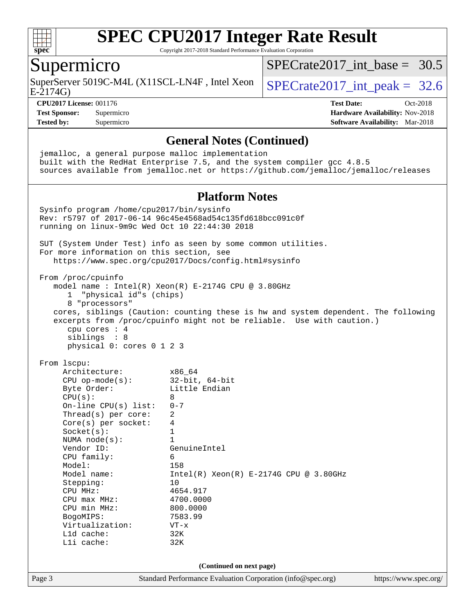

Copyright 2017-2018 Standard Performance Evaluation Corporation

### Supermicro

SuperServer 5019C-M4L (X11SCL-LN4F, Intel Xeon  $\big|$  SPECrate 2017 int peak = 32.6

[SPECrate2017\\_int\\_base =](http://www.spec.org/auto/cpu2017/Docs/result-fields.html#SPECrate2017intbase) 30.5

E-2174G)

**[CPU2017 License:](http://www.spec.org/auto/cpu2017/Docs/result-fields.html#CPU2017License)** 001176 **[Test Date:](http://www.spec.org/auto/cpu2017/Docs/result-fields.html#TestDate)** Oct-2018

**[Test Sponsor:](http://www.spec.org/auto/cpu2017/Docs/result-fields.html#TestSponsor)** Supermicro **[Hardware Availability:](http://www.spec.org/auto/cpu2017/Docs/result-fields.html#HardwareAvailability)** Nov-2018 **[Tested by:](http://www.spec.org/auto/cpu2017/Docs/result-fields.html#Testedby)** Supermicro **[Software Availability:](http://www.spec.org/auto/cpu2017/Docs/result-fields.html#SoftwareAvailability)** Mar-2018

#### **[General Notes \(Continued\)](http://www.spec.org/auto/cpu2017/Docs/result-fields.html#GeneralNotes)**

Page 3 Standard Performance Evaluation Corporation [\(info@spec.org\)](mailto:info@spec.org) <https://www.spec.org/> jemalloc, a general purpose malloc implementation built with the RedHat Enterprise 7.5, and the system compiler gcc 4.8.5 sources available from jemalloc.net or <https://github.com/jemalloc/jemalloc/releases> **[Platform Notes](http://www.spec.org/auto/cpu2017/Docs/result-fields.html#PlatformNotes)** Sysinfo program /home/cpu2017/bin/sysinfo Rev: r5797 of 2017-06-14 96c45e4568ad54c135fd618bcc091c0f running on linux-9m9c Wed Oct 10 22:44:30 2018 SUT (System Under Test) info as seen by some common utilities. For more information on this section, see <https://www.spec.org/cpu2017/Docs/config.html#sysinfo> From /proc/cpuinfo model name : Intel(R) Xeon(R) E-2174G CPU @ 3.80GHz 1 "physical id"s (chips) 8 "processors" cores, siblings (Caution: counting these is hw and system dependent. The following excerpts from /proc/cpuinfo might not be reliable. Use with caution.) cpu cores : 4 siblings : 8 physical 0: cores 0 1 2 3 From lscpu: Architecture: x86\_64 CPU op-mode(s): 32-bit, 64-bit Byte Order: Little Endian  $CPU(s):$  8 On-line CPU(s) list: 0-7 Thread(s) per core: 2 Core(s) per socket: 4 Socket(s): 1 NUMA node(s): 1<br>Vendor ID: Ge GenuineIntel CPU family: 6 Model: 158 Model name: Intel(R) Xeon(R) E-2174G CPU @ 3.80GHz Stepping: 10 CPU MHz: 4654.917 CPU max MHz: 4700.0000<br>CPU min MHz: 800.0000 CPU min MHz: BogoMIPS: 7583.99 Virtualization: VT-x L1d cache: 32K L1i cache: 32K **(Continued on next page)**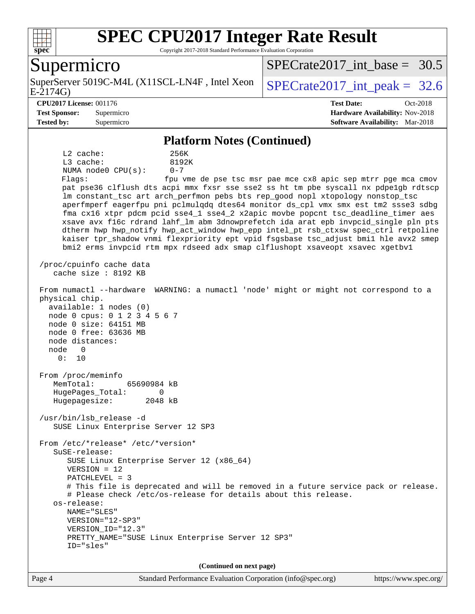

Copyright 2017-2018 Standard Performance Evaluation Corporation

### Supermicro

E-2174G) SuperServer 5019C-M4L (X11SCL-LN4F, Intel Xeon  $\big|$  SPECrate 2017 int peak = 32.6

SPECrate2017 int\_base =  $30.5$ 

#### **[CPU2017 License:](http://www.spec.org/auto/cpu2017/Docs/result-fields.html#CPU2017License)** 001176 **[Test Date:](http://www.spec.org/auto/cpu2017/Docs/result-fields.html#TestDate)** Oct-2018

**[Test Sponsor:](http://www.spec.org/auto/cpu2017/Docs/result-fields.html#TestSponsor)** Supermicro **[Hardware Availability:](http://www.spec.org/auto/cpu2017/Docs/result-fields.html#HardwareAvailability)** Nov-2018 **[Tested by:](http://www.spec.org/auto/cpu2017/Docs/result-fields.html#Testedby)** Supermicro **[Software Availability:](http://www.spec.org/auto/cpu2017/Docs/result-fields.html#SoftwareAvailability)** Mar-2018

## **[Platform Notes \(Continued\)](http://www.spec.org/auto/cpu2017/Docs/result-fields.html#PlatformNotes)**

 L2 cache: 256K L3 cache: 8192K NUMA node0 CPU(s): 0-7 Flags: fpu vme de pse tsc msr pae mce cx8 apic sep mtrr pge mca cmov pat pse36 clflush dts acpi mmx fxsr sse sse2 ss ht tm pbe syscall nx pdpe1gb rdtscp lm constant\_tsc art arch\_perfmon pebs bts rep\_good nopl xtopology nonstop\_tsc aperfmperf eagerfpu pni pclmulqdq dtes64 monitor ds\_cpl vmx smx est tm2 ssse3 sdbg fma cx16 xtpr pdcm pcid sse4\_1 sse4\_2 x2apic movbe popcnt tsc\_deadline\_timer aes xsave avx f16c rdrand lahf\_lm abm 3dnowprefetch ida arat epb invpcid\_single pln pts dtherm hwp hwp\_notify hwp\_act\_window hwp\_epp intel\_pt rsb\_ctxsw spec\_ctrl retpoline kaiser tpr\_shadow vnmi flexpriority ept vpid fsgsbase tsc\_adjust bmi1 hle avx2 smep bmi2 erms invpcid rtm mpx rdseed adx smap clflushopt xsaveopt xsavec xgetbv1 /proc/cpuinfo cache data cache size : 8192 KB From numactl --hardware WARNING: a numactl 'node' might or might not correspond to a physical chip. available: 1 nodes (0) node 0 cpus: 0 1 2 3 4 5 6 7 node 0 size: 64151 MB node 0 free: 63636 MB node distances: node 0 0: 10 From /proc/meminfo MemTotal: 65690984 kB HugePages\_Total: 0 Hugepagesize: 2048 kB /usr/bin/lsb\_release -d SUSE Linux Enterprise Server 12 SP3 From /etc/\*release\* /etc/\*version\* SuSE-release: SUSE Linux Enterprise Server 12 (x86\_64) VERSION = 12 PATCHLEVEL = 3 # This file is deprecated and will be removed in a future service pack or release. # Please check /etc/os-release for details about this release. os-release: NAME="SLES" VERSION="12-SP3" VERSION\_ID="12.3" PRETTY\_NAME="SUSE Linux Enterprise Server 12 SP3" ID="sles" **(Continued on next page)**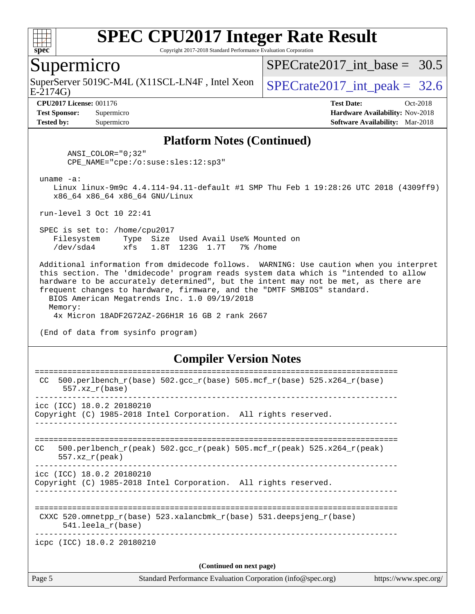

Copyright 2017-2018 Standard Performance Evaluation Corporation

### Supermicro

SuperServer 5019C-M4L (X11SCL-LN4F, Intel Xeon  $\big|$  SPECrate2017 int peak = 32.6

SPECrate2017 int\_base =  $30.5$ 

E-2174G)

**[Tested by:](http://www.spec.org/auto/cpu2017/Docs/result-fields.html#Testedby)** Supermicro **[Software Availability:](http://www.spec.org/auto/cpu2017/Docs/result-fields.html#SoftwareAvailability)** Mar-2018

**[CPU2017 License:](http://www.spec.org/auto/cpu2017/Docs/result-fields.html#CPU2017License)** 001176 **[Test Date:](http://www.spec.org/auto/cpu2017/Docs/result-fields.html#TestDate)** Oct-2018 **[Test Sponsor:](http://www.spec.org/auto/cpu2017/Docs/result-fields.html#TestSponsor)** Supermicro **[Hardware Availability:](http://www.spec.org/auto/cpu2017/Docs/result-fields.html#HardwareAvailability)** Nov-2018

#### **[Platform Notes \(Continued\)](http://www.spec.org/auto/cpu2017/Docs/result-fields.html#PlatformNotes)**

 ANSI\_COLOR="0;32" CPE\_NAME="cpe:/o:suse:sles:12:sp3"

uname -a:

 Linux linux-9m9c 4.4.114-94.11-default #1 SMP Thu Feb 1 19:28:26 UTC 2018 (4309ff9) x86\_64 x86\_64 x86\_64 GNU/Linux

run-level 3 Oct 10 22:41

 SPEC is set to: /home/cpu2017 Filesystem Type Size Used Avail Use% Mounted on /dev/sda4 xfs 1.8T 123G 1.7T 7% /home

 Additional information from dmidecode follows. WARNING: Use caution when you interpret this section. The 'dmidecode' program reads system data which is "intended to allow hardware to be accurately determined", but the intent may not be met, as there are frequent changes to hardware, firmware, and the "DMTF SMBIOS" standard. BIOS American Megatrends Inc. 1.0 09/19/2018

 Memory: 4x Micron 18ADF2G72AZ-2G6H1R 16 GB 2 rank 2667

(End of data from sysinfo program)

#### **[Compiler Version Notes](http://www.spec.org/auto/cpu2017/Docs/result-fields.html#CompilerVersionNotes)**

| Page 5 | Standard Performance Evaluation Corporation (info@spec.org)<br>https://www.spec.org/                                    |
|--------|-------------------------------------------------------------------------------------------------------------------------|
|        | (Continued on next page)                                                                                                |
|        | icpc (ICC) 18.0.2 20180210                                                                                              |
|        | CXXC $520.\text{omnetpp_r(base)}$ $523.\text{xalancbmk_r(base)}$ $531.\text{deepsjeng_r(base)}$<br>$541.$ leela r(base) |
|        | icc (ICC) 18.0.2 20180210<br>Copyright (C) 1985-2018 Intel Corporation. All rights reserved.                            |
| CC.    | $500. perlbench_r (peak) 502. gcc_r (peak) 505. mcf_r (peak) 525. x264_r (peak)$<br>$557.xx$ r(peak)                    |
|        | icc (ICC) 18.0.2 20180210<br>Copyright (C) 1985-2018 Intel Corporation. All rights reserved.                            |
| CC.    | $500. perlbench_r(base) 502. gcc_r(base) 505. mcf_r(base) 525. x264_r(base)$<br>$557.xx$ $r(base)$                      |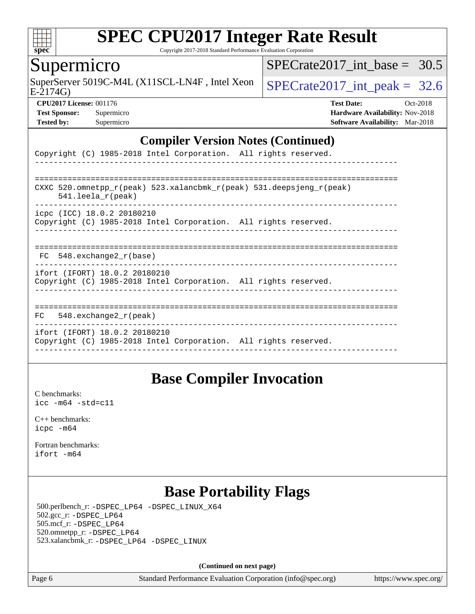

Copyright 2017-2018 Standard Performance Evaluation Corporation

### Supermicro

SuperServer 5019C-M4L (X11SCL-LN4F, Intel Xeon  $\big|$  [SPECrate2017\\_int\\_peak =](http://www.spec.org/auto/cpu2017/Docs/result-fields.html#SPECrate2017intpeak) 32.6

SPECrate2017 int\_base =  $30.5$ 

 $E-2174G$ 

**[Tested by:](http://www.spec.org/auto/cpu2017/Docs/result-fields.html#Testedby)** Supermicro **[Software Availability:](http://www.spec.org/auto/cpu2017/Docs/result-fields.html#SoftwareAvailability)** Mar-2018

**[CPU2017 License:](http://www.spec.org/auto/cpu2017/Docs/result-fields.html#CPU2017License)** 001176 **[Test Date:](http://www.spec.org/auto/cpu2017/Docs/result-fields.html#TestDate)** Oct-2018 **[Test Sponsor:](http://www.spec.org/auto/cpu2017/Docs/result-fields.html#TestSponsor)** Supermicro **[Hardware Availability:](http://www.spec.org/auto/cpu2017/Docs/result-fields.html#HardwareAvailability)** Nov-2018

#### **[Compiler Version Notes \(Continued\)](http://www.spec.org/auto/cpu2017/Docs/result-fields.html#CompilerVersionNotes)**

| Copyright (C) 1985-2018 Intel Corporation. All rights reserved.                                                         |
|-------------------------------------------------------------------------------------------------------------------------|
|                                                                                                                         |
| CXXC 520.omnetpp $r(\text{peak})$ 523.xalancbmk $r(\text{peak})$ 531.deepsjeng $r(\text{peak})$<br>$541.$ leela r(peak) |
| icpc (ICC) 18.0.2 20180210<br>Copyright (C) 1985-2018 Intel Corporation. All rights reserved.                           |
| FC 548. exchange2 r(base)                                                                                               |
| ifort (IFORT) 18.0.2 20180210<br>Copyright (C) 1985-2018 Intel Corporation. All rights reserved.                        |
| 548.exchange2 r(peak)<br>FC.                                                                                            |
| ifort (IFORT) 18.0.2 20180210<br>Copyright (C) 1985-2018 Intel Corporation. All rights reserved.                        |

## **[Base Compiler Invocation](http://www.spec.org/auto/cpu2017/Docs/result-fields.html#BaseCompilerInvocation)**

[C benchmarks](http://www.spec.org/auto/cpu2017/Docs/result-fields.html#Cbenchmarks): [icc -m64 -std=c11](http://www.spec.org/cpu2017/results/res2018q4/cpu2017-20181112-09631.flags.html#user_CCbase_intel_icc_64bit_c11_33ee0cdaae7deeeab2a9725423ba97205ce30f63b9926c2519791662299b76a0318f32ddfffdc46587804de3178b4f9328c46fa7c2b0cd779d7a61945c91cd35)

[C++ benchmarks:](http://www.spec.org/auto/cpu2017/Docs/result-fields.html#CXXbenchmarks) [icpc -m64](http://www.spec.org/cpu2017/results/res2018q4/cpu2017-20181112-09631.flags.html#user_CXXbase_intel_icpc_64bit_4ecb2543ae3f1412ef961e0650ca070fec7b7afdcd6ed48761b84423119d1bf6bdf5cad15b44d48e7256388bc77273b966e5eb805aefd121eb22e9299b2ec9d9)

[Fortran benchmarks](http://www.spec.org/auto/cpu2017/Docs/result-fields.html#Fortranbenchmarks): [ifort -m64](http://www.spec.org/cpu2017/results/res2018q4/cpu2017-20181112-09631.flags.html#user_FCbase_intel_ifort_64bit_24f2bb282fbaeffd6157abe4f878425411749daecae9a33200eee2bee2fe76f3b89351d69a8130dd5949958ce389cf37ff59a95e7a40d588e8d3a57e0c3fd751)

## **[Base Portability Flags](http://www.spec.org/auto/cpu2017/Docs/result-fields.html#BasePortabilityFlags)**

 500.perlbench\_r: [-DSPEC\\_LP64](http://www.spec.org/cpu2017/results/res2018q4/cpu2017-20181112-09631.flags.html#b500.perlbench_r_basePORTABILITY_DSPEC_LP64) [-DSPEC\\_LINUX\\_X64](http://www.spec.org/cpu2017/results/res2018q4/cpu2017-20181112-09631.flags.html#b500.perlbench_r_baseCPORTABILITY_DSPEC_LINUX_X64) 502.gcc\_r: [-DSPEC\\_LP64](http://www.spec.org/cpu2017/results/res2018q4/cpu2017-20181112-09631.flags.html#suite_basePORTABILITY502_gcc_r_DSPEC_LP64) 505.mcf\_r: [-DSPEC\\_LP64](http://www.spec.org/cpu2017/results/res2018q4/cpu2017-20181112-09631.flags.html#suite_basePORTABILITY505_mcf_r_DSPEC_LP64) 520.omnetpp\_r: [-DSPEC\\_LP64](http://www.spec.org/cpu2017/results/res2018q4/cpu2017-20181112-09631.flags.html#suite_basePORTABILITY520_omnetpp_r_DSPEC_LP64) 523.xalancbmk\_r: [-DSPEC\\_LP64](http://www.spec.org/cpu2017/results/res2018q4/cpu2017-20181112-09631.flags.html#suite_basePORTABILITY523_xalancbmk_r_DSPEC_LP64) [-DSPEC\\_LINUX](http://www.spec.org/cpu2017/results/res2018q4/cpu2017-20181112-09631.flags.html#b523.xalancbmk_r_baseCXXPORTABILITY_DSPEC_LINUX)

**(Continued on next page)**

Page 6 Standard Performance Evaluation Corporation [\(info@spec.org\)](mailto:info@spec.org) <https://www.spec.org/>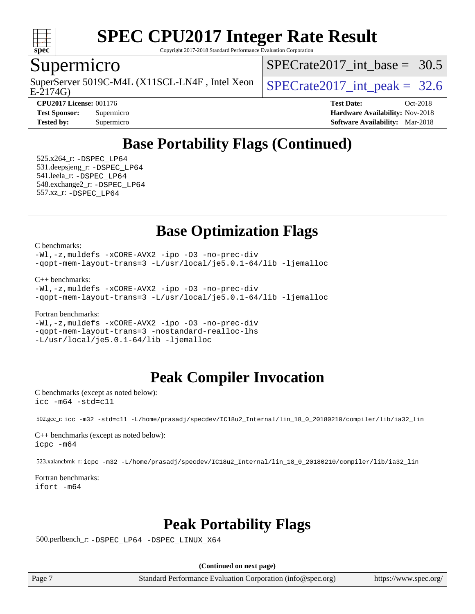

Copyright 2017-2018 Standard Performance Evaluation Corporation

### Supermicro

E-2174G) SuperServer 5019C-M4L (X11SCL-LN4F, Intel Xeon  $\big|$  SPECrate 2017 int peak = 32.6

SPECrate2017 int\_base =  $30.5$ 

**[CPU2017 License:](http://www.spec.org/auto/cpu2017/Docs/result-fields.html#CPU2017License)** 001176 **[Test Date:](http://www.spec.org/auto/cpu2017/Docs/result-fields.html#TestDate)** Oct-2018 **[Test Sponsor:](http://www.spec.org/auto/cpu2017/Docs/result-fields.html#TestSponsor)** Supermicro **[Hardware Availability:](http://www.spec.org/auto/cpu2017/Docs/result-fields.html#HardwareAvailability)** Nov-2018 **[Tested by:](http://www.spec.org/auto/cpu2017/Docs/result-fields.html#Testedby)** Supermicro **[Software Availability:](http://www.spec.org/auto/cpu2017/Docs/result-fields.html#SoftwareAvailability)** Mar-2018

## **[Base Portability Flags \(Continued\)](http://www.spec.org/auto/cpu2017/Docs/result-fields.html#BasePortabilityFlags)**

 525.x264\_r: [-DSPEC\\_LP64](http://www.spec.org/cpu2017/results/res2018q4/cpu2017-20181112-09631.flags.html#suite_basePORTABILITY525_x264_r_DSPEC_LP64) 531.deepsjeng\_r: [-DSPEC\\_LP64](http://www.spec.org/cpu2017/results/res2018q4/cpu2017-20181112-09631.flags.html#suite_basePORTABILITY531_deepsjeng_r_DSPEC_LP64) 541.leela\_r: [-DSPEC\\_LP64](http://www.spec.org/cpu2017/results/res2018q4/cpu2017-20181112-09631.flags.html#suite_basePORTABILITY541_leela_r_DSPEC_LP64) 548.exchange2\_r: [-DSPEC\\_LP64](http://www.spec.org/cpu2017/results/res2018q4/cpu2017-20181112-09631.flags.html#suite_basePORTABILITY548_exchange2_r_DSPEC_LP64) 557.xz\_r: [-DSPEC\\_LP64](http://www.spec.org/cpu2017/results/res2018q4/cpu2017-20181112-09631.flags.html#suite_basePORTABILITY557_xz_r_DSPEC_LP64)

## **[Base Optimization Flags](http://www.spec.org/auto/cpu2017/Docs/result-fields.html#BaseOptimizationFlags)**

[C benchmarks](http://www.spec.org/auto/cpu2017/Docs/result-fields.html#Cbenchmarks):

[-Wl,-z,muldefs](http://www.spec.org/cpu2017/results/res2018q4/cpu2017-20181112-09631.flags.html#user_CCbase_link_force_multiple1_b4cbdb97b34bdee9ceefcfe54f4c8ea74255f0b02a4b23e853cdb0e18eb4525ac79b5a88067c842dd0ee6996c24547a27a4b99331201badda8798ef8a743f577) [-xCORE-AVX2](http://www.spec.org/cpu2017/results/res2018q4/cpu2017-20181112-09631.flags.html#user_CCbase_f-xCORE-AVX2) [-ipo](http://www.spec.org/cpu2017/results/res2018q4/cpu2017-20181112-09631.flags.html#user_CCbase_f-ipo) [-O3](http://www.spec.org/cpu2017/results/res2018q4/cpu2017-20181112-09631.flags.html#user_CCbase_f-O3) [-no-prec-div](http://www.spec.org/cpu2017/results/res2018q4/cpu2017-20181112-09631.flags.html#user_CCbase_f-no-prec-div) [-qopt-mem-layout-trans=3](http://www.spec.org/cpu2017/results/res2018q4/cpu2017-20181112-09631.flags.html#user_CCbase_f-qopt-mem-layout-trans_de80db37974c74b1f0e20d883f0b675c88c3b01e9d123adea9b28688d64333345fb62bc4a798493513fdb68f60282f9a726aa07f478b2f7113531aecce732043) [-L/usr/local/je5.0.1-64/lib](http://www.spec.org/cpu2017/results/res2018q4/cpu2017-20181112-09631.flags.html#user_CCbase_jemalloc_link_path64_4b10a636b7bce113509b17f3bd0d6226c5fb2346b9178c2d0232c14f04ab830f976640479e5c33dc2bcbbdad86ecfb6634cbbd4418746f06f368b512fced5394) [-ljemalloc](http://www.spec.org/cpu2017/results/res2018q4/cpu2017-20181112-09631.flags.html#user_CCbase_jemalloc_link_lib_d1249b907c500fa1c0672f44f562e3d0f79738ae9e3c4a9c376d49f265a04b9c99b167ecedbf6711b3085be911c67ff61f150a17b3472be731631ba4d0471706)

[C++ benchmarks:](http://www.spec.org/auto/cpu2017/Docs/result-fields.html#CXXbenchmarks)

[-Wl,-z,muldefs](http://www.spec.org/cpu2017/results/res2018q4/cpu2017-20181112-09631.flags.html#user_CXXbase_link_force_multiple1_b4cbdb97b34bdee9ceefcfe54f4c8ea74255f0b02a4b23e853cdb0e18eb4525ac79b5a88067c842dd0ee6996c24547a27a4b99331201badda8798ef8a743f577) [-xCORE-AVX2](http://www.spec.org/cpu2017/results/res2018q4/cpu2017-20181112-09631.flags.html#user_CXXbase_f-xCORE-AVX2) [-ipo](http://www.spec.org/cpu2017/results/res2018q4/cpu2017-20181112-09631.flags.html#user_CXXbase_f-ipo) [-O3](http://www.spec.org/cpu2017/results/res2018q4/cpu2017-20181112-09631.flags.html#user_CXXbase_f-O3) [-no-prec-div](http://www.spec.org/cpu2017/results/res2018q4/cpu2017-20181112-09631.flags.html#user_CXXbase_f-no-prec-div) [-qopt-mem-layout-trans=3](http://www.spec.org/cpu2017/results/res2018q4/cpu2017-20181112-09631.flags.html#user_CXXbase_f-qopt-mem-layout-trans_de80db37974c74b1f0e20d883f0b675c88c3b01e9d123adea9b28688d64333345fb62bc4a798493513fdb68f60282f9a726aa07f478b2f7113531aecce732043) [-L/usr/local/je5.0.1-64/lib](http://www.spec.org/cpu2017/results/res2018q4/cpu2017-20181112-09631.flags.html#user_CXXbase_jemalloc_link_path64_4b10a636b7bce113509b17f3bd0d6226c5fb2346b9178c2d0232c14f04ab830f976640479e5c33dc2bcbbdad86ecfb6634cbbd4418746f06f368b512fced5394) [-ljemalloc](http://www.spec.org/cpu2017/results/res2018q4/cpu2017-20181112-09631.flags.html#user_CXXbase_jemalloc_link_lib_d1249b907c500fa1c0672f44f562e3d0f79738ae9e3c4a9c376d49f265a04b9c99b167ecedbf6711b3085be911c67ff61f150a17b3472be731631ba4d0471706)

[Fortran benchmarks](http://www.spec.org/auto/cpu2017/Docs/result-fields.html#Fortranbenchmarks):

[-Wl,-z,muldefs](http://www.spec.org/cpu2017/results/res2018q4/cpu2017-20181112-09631.flags.html#user_FCbase_link_force_multiple1_b4cbdb97b34bdee9ceefcfe54f4c8ea74255f0b02a4b23e853cdb0e18eb4525ac79b5a88067c842dd0ee6996c24547a27a4b99331201badda8798ef8a743f577) [-xCORE-AVX2](http://www.spec.org/cpu2017/results/res2018q4/cpu2017-20181112-09631.flags.html#user_FCbase_f-xCORE-AVX2) [-ipo](http://www.spec.org/cpu2017/results/res2018q4/cpu2017-20181112-09631.flags.html#user_FCbase_f-ipo) [-O3](http://www.spec.org/cpu2017/results/res2018q4/cpu2017-20181112-09631.flags.html#user_FCbase_f-O3) [-no-prec-div](http://www.spec.org/cpu2017/results/res2018q4/cpu2017-20181112-09631.flags.html#user_FCbase_f-no-prec-div) [-qopt-mem-layout-trans=3](http://www.spec.org/cpu2017/results/res2018q4/cpu2017-20181112-09631.flags.html#user_FCbase_f-qopt-mem-layout-trans_de80db37974c74b1f0e20d883f0b675c88c3b01e9d123adea9b28688d64333345fb62bc4a798493513fdb68f60282f9a726aa07f478b2f7113531aecce732043) [-nostandard-realloc-lhs](http://www.spec.org/cpu2017/results/res2018q4/cpu2017-20181112-09631.flags.html#user_FCbase_f_2003_std_realloc_82b4557e90729c0f113870c07e44d33d6f5a304b4f63d4c15d2d0f1fab99f5daaed73bdb9275d9ae411527f28b936061aa8b9c8f2d63842963b95c9dd6426b8a) [-L/usr/local/je5.0.1-64/lib](http://www.spec.org/cpu2017/results/res2018q4/cpu2017-20181112-09631.flags.html#user_FCbase_jemalloc_link_path64_4b10a636b7bce113509b17f3bd0d6226c5fb2346b9178c2d0232c14f04ab830f976640479e5c33dc2bcbbdad86ecfb6634cbbd4418746f06f368b512fced5394) [-ljemalloc](http://www.spec.org/cpu2017/results/res2018q4/cpu2017-20181112-09631.flags.html#user_FCbase_jemalloc_link_lib_d1249b907c500fa1c0672f44f562e3d0f79738ae9e3c4a9c376d49f265a04b9c99b167ecedbf6711b3085be911c67ff61f150a17b3472be731631ba4d0471706)

## **[Peak Compiler Invocation](http://www.spec.org/auto/cpu2017/Docs/result-fields.html#PeakCompilerInvocation)**

[C benchmarks \(except as noted below\)](http://www.spec.org/auto/cpu2017/Docs/result-fields.html#Cbenchmarksexceptasnotedbelow): [icc -m64 -std=c11](http://www.spec.org/cpu2017/results/res2018q4/cpu2017-20181112-09631.flags.html#user_CCpeak_intel_icc_64bit_c11_33ee0cdaae7deeeab2a9725423ba97205ce30f63b9926c2519791662299b76a0318f32ddfffdc46587804de3178b4f9328c46fa7c2b0cd779d7a61945c91cd35)

502.gcc\_r: [icc -m32 -std=c11 -L/home/prasadj/specdev/IC18u2\\_Internal/lin\\_18\\_0\\_20180210/compiler/lib/ia32\\_lin](http://www.spec.org/cpu2017/results/res2018q4/cpu2017-20181112-09631.flags.html#user_peakCCLD502_gcc_r_intel_icc_a481ac844e7127046fad14d498c730a1848fa901fbbb2c3dfdd5e9fbbac777c8009953946d55d8b6afe8ed0da70dd2b4f8dedbdf7ab1ee211ba70d24a5d89f85)

[C++ benchmarks \(except as noted below\):](http://www.spec.org/auto/cpu2017/Docs/result-fields.html#CXXbenchmarksexceptasnotedbelow) [icpc -m64](http://www.spec.org/cpu2017/results/res2018q4/cpu2017-20181112-09631.flags.html#user_CXXpeak_intel_icpc_64bit_4ecb2543ae3f1412ef961e0650ca070fec7b7afdcd6ed48761b84423119d1bf6bdf5cad15b44d48e7256388bc77273b966e5eb805aefd121eb22e9299b2ec9d9)

523.xalancbmk\_r: [icpc -m32 -L/home/prasadj/specdev/IC18u2\\_Internal/lin\\_18\\_0\\_20180210/compiler/lib/ia32\\_lin](http://www.spec.org/cpu2017/results/res2018q4/cpu2017-20181112-09631.flags.html#user_peakCXXLD523_xalancbmk_r_intel_icpc_c6d030cd79af6ea7d6fb64c57e8fe7ae8fe0b96fc5a3b3f4a10e3273b3d7fa9decd8263f6330cef23f751cb093a69fae84a2bf4c243500a8eed069248128076f)

[Fortran benchmarks](http://www.spec.org/auto/cpu2017/Docs/result-fields.html#Fortranbenchmarks): [ifort -m64](http://www.spec.org/cpu2017/results/res2018q4/cpu2017-20181112-09631.flags.html#user_FCpeak_intel_ifort_64bit_24f2bb282fbaeffd6157abe4f878425411749daecae9a33200eee2bee2fe76f3b89351d69a8130dd5949958ce389cf37ff59a95e7a40d588e8d3a57e0c3fd751)

## **[Peak Portability Flags](http://www.spec.org/auto/cpu2017/Docs/result-fields.html#PeakPortabilityFlags)**

500.perlbench\_r: [-DSPEC\\_LP64](http://www.spec.org/cpu2017/results/res2018q4/cpu2017-20181112-09631.flags.html#b500.perlbench_r_peakPORTABILITY_DSPEC_LP64) [-DSPEC\\_LINUX\\_X64](http://www.spec.org/cpu2017/results/res2018q4/cpu2017-20181112-09631.flags.html#b500.perlbench_r_peakCPORTABILITY_DSPEC_LINUX_X64)

**(Continued on next page)**

Page 7 Standard Performance Evaluation Corporation [\(info@spec.org\)](mailto:info@spec.org) <https://www.spec.org/>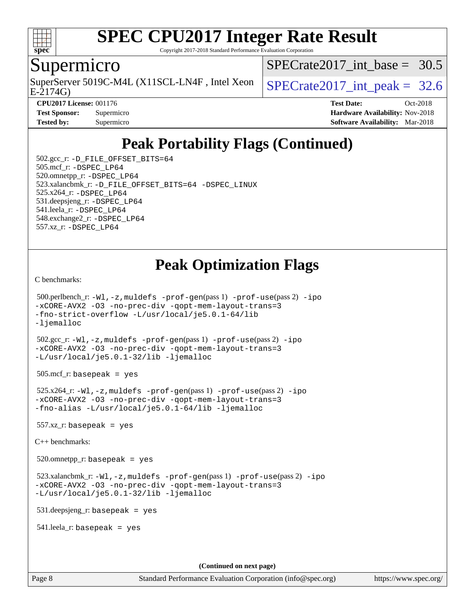

Copyright 2017-2018 Standard Performance Evaluation Corporation

### Supermicro

SuperServer 5019C-M4L (X11SCL-LN4F, Intel Xeon  $\big|$  SPECrate 2017 int peak = 32.6

[SPECrate2017\\_int\\_base =](http://www.spec.org/auto/cpu2017/Docs/result-fields.html#SPECrate2017intbase) 30.5

E-2174G)

**[CPU2017 License:](http://www.spec.org/auto/cpu2017/Docs/result-fields.html#CPU2017License)** 001176 **[Test Date:](http://www.spec.org/auto/cpu2017/Docs/result-fields.html#TestDate)** Oct-2018 **[Test Sponsor:](http://www.spec.org/auto/cpu2017/Docs/result-fields.html#TestSponsor)** Supermicro **[Hardware Availability:](http://www.spec.org/auto/cpu2017/Docs/result-fields.html#HardwareAvailability)** Nov-2018 **[Tested by:](http://www.spec.org/auto/cpu2017/Docs/result-fields.html#Testedby)** Supermicro **[Software Availability:](http://www.spec.org/auto/cpu2017/Docs/result-fields.html#SoftwareAvailability)** Mar-2018

## **[Peak Portability Flags \(Continued\)](http://www.spec.org/auto/cpu2017/Docs/result-fields.html#PeakPortabilityFlags)**

 502.gcc\_r: [-D\\_FILE\\_OFFSET\\_BITS=64](http://www.spec.org/cpu2017/results/res2018q4/cpu2017-20181112-09631.flags.html#user_peakPORTABILITY502_gcc_r_file_offset_bits_64_5ae949a99b284ddf4e95728d47cb0843d81b2eb0e18bdfe74bbf0f61d0b064f4bda2f10ea5eb90e1dcab0e84dbc592acfc5018bc955c18609f94ddb8d550002c) 505.mcf\_r: [-DSPEC\\_LP64](http://www.spec.org/cpu2017/results/res2018q4/cpu2017-20181112-09631.flags.html#suite_peakPORTABILITY505_mcf_r_DSPEC_LP64) 520.omnetpp\_r: [-DSPEC\\_LP64](http://www.spec.org/cpu2017/results/res2018q4/cpu2017-20181112-09631.flags.html#suite_peakPORTABILITY520_omnetpp_r_DSPEC_LP64) 523.xalancbmk\_r: [-D\\_FILE\\_OFFSET\\_BITS=64](http://www.spec.org/cpu2017/results/res2018q4/cpu2017-20181112-09631.flags.html#user_peakPORTABILITY523_xalancbmk_r_file_offset_bits_64_5ae949a99b284ddf4e95728d47cb0843d81b2eb0e18bdfe74bbf0f61d0b064f4bda2f10ea5eb90e1dcab0e84dbc592acfc5018bc955c18609f94ddb8d550002c) [-DSPEC\\_LINUX](http://www.spec.org/cpu2017/results/res2018q4/cpu2017-20181112-09631.flags.html#b523.xalancbmk_r_peakCXXPORTABILITY_DSPEC_LINUX) 525.x264\_r: [-DSPEC\\_LP64](http://www.spec.org/cpu2017/results/res2018q4/cpu2017-20181112-09631.flags.html#suite_peakPORTABILITY525_x264_r_DSPEC_LP64) 531.deepsjeng\_r: [-DSPEC\\_LP64](http://www.spec.org/cpu2017/results/res2018q4/cpu2017-20181112-09631.flags.html#suite_peakPORTABILITY531_deepsjeng_r_DSPEC_LP64) 541.leela\_r: [-DSPEC\\_LP64](http://www.spec.org/cpu2017/results/res2018q4/cpu2017-20181112-09631.flags.html#suite_peakPORTABILITY541_leela_r_DSPEC_LP64) 548.exchange2\_r: [-DSPEC\\_LP64](http://www.spec.org/cpu2017/results/res2018q4/cpu2017-20181112-09631.flags.html#suite_peakPORTABILITY548_exchange2_r_DSPEC_LP64) 557.xz\_r: [-DSPEC\\_LP64](http://www.spec.org/cpu2017/results/res2018q4/cpu2017-20181112-09631.flags.html#suite_peakPORTABILITY557_xz_r_DSPEC_LP64)

## **[Peak Optimization Flags](http://www.spec.org/auto/cpu2017/Docs/result-fields.html#PeakOptimizationFlags)**

[C benchmarks](http://www.spec.org/auto/cpu2017/Docs/result-fields.html#Cbenchmarks):

```
 500.perlbench_r: -Wl,-z,muldefs -prof-gen(pass 1) -prof-use(pass 2) -ipo
-xCORE-AVX2 -O3 -no-prec-div -qopt-mem-layout-trans=3
-fno-strict-overflow -L/usr/local/je5.0.1-64/lib
-ljemalloc
 502.gcc_r: -Wl,-z,muldefs -prof-gen(pass 1) -prof-use(pass 2) -ipo
-xCORE-AVX2 -O3 -no-prec-div -qopt-mem-layout-trans=3
-L/usr/local/je5.0.1-32/lib -ljemalloc
 505.mcf_r: basepeak = yes
 525.x264_r: -Wl,-z,muldefs -prof-gen(pass 1) -prof-use(pass 2) -ipo
-xCORE-AVX2 -O3 -no-prec-div -qopt-mem-layout-trans=3
-fno-alias -L/usr/local/je5.0.1-64/lib -ljemalloc
 557.xz_r: basepeak = yes
C++ benchmarks: 
 520.omnetpp_r: basepeak = yes
523.xalancbmk_r: -W1, -z, muldefs -prof-qen(pass 1) -prof-use-ipo-xCORE-AVX2 -O3 -no-prec-div -qopt-mem-layout-trans=3
-L/usr/local/je5.0.1-32/lib -ljemalloc
 531.deepsjeng_r: basepeak = yes
 541.leela_r: basepeak = yes
                                      (Continued on next page)
```